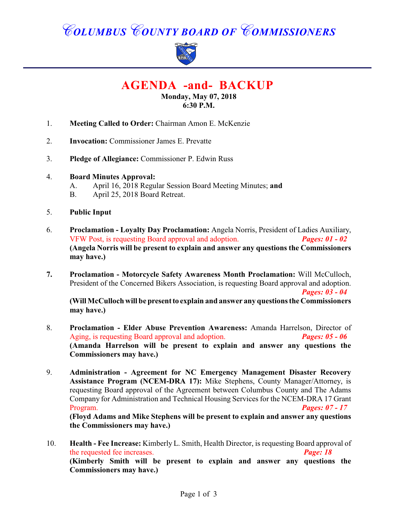# *COLUMBUS COUNTY BOARD OF COMMISSIONERS*



**AGENDA -and- BACKUP**

#### **Monday, May 07, 2018 6:30 P.M.**

- 1. **Meeting Called to Order:** Chairman Amon E. McKenzie
- 2. **Invocation:** Commissioner James E. Prevatte
- 3. **Pledge of Allegiance:** Commissioner P. Edwin Russ
- 4. **Board Minutes Approval:**
	- A. April 16, 2018 Regular Session Board Meeting Minutes; **and**
	- B. April 25, 2018 Board Retreat.
- 5. **Public Input**
- 6. **Proclamation Loyalty Day Proclamation:** Angela Norris, President of Ladies Auxiliary, VFW Post, is requesting Board approval and adoption. *Pages: 01 - 02* **(Angela Norris will be present to explain and answer any questions the Commissioners may have.)**
- **7. Proclamation Motorcycle Safety Awareness Month Proclamation:** Will McCulloch, President of the Concerned Bikers Association, is requesting Board approval and adoption. *Pages: 03 - 04*

**(Will McCulloch will be present to explain and answer any questions the Commissioners may have.)**

- 8. **Proclamation Elder Abuse Prevention Awareness:** Amanda Harrelson, Director of Aging, is requesting Board approval and adoption. *Pages: 05 - 06* **(Amanda Harrelson will be present to explain and answer any questions the Commissioners may have.)**
- 9. **Administration Agreement for NC Emergency Management Disaster Recovery Assistance Program (NCEM-DRA 17):** Mike Stephens, County Manager/Attorney, is requesting Board approval of the Agreement between Columbus County and The Adams Company for Administration and Technical Housing Services for the NCEM-DRA 17 Grant Program. *Pages: 07 - 17* **(Floyd Adams and Mike Stephens will be present to explain and answer any questions the Commissioners may have.)**
- 10. **Health Fee Increase:** Kimberly L. Smith, Health Director, is requesting Board approval of the requested fee increases. *Page: 18* **(Kimberly Smith will be present to explain and answer any questions the Commissioners may have.)**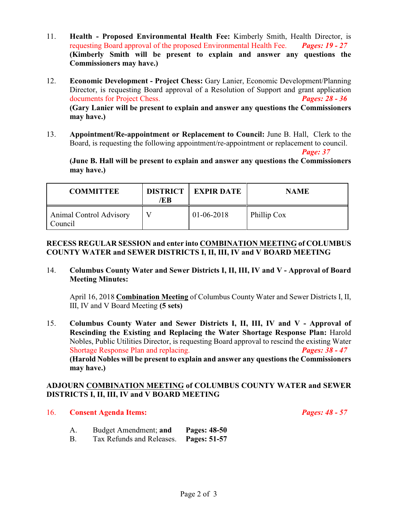- 11. **Health Proposed Environmental Health Fee:** Kimberly Smith, Health Director, is requesting Board approval of the proposed Environmental Health Fee. *Pages: 19 - 27* **(Kimberly Smith will be present to explain and answer any questions the Commissioners may have.)**
- 12. **Economic Development Project Chess:** Gary Lanier, Economic Development/Planning Director, is requesting Board approval of a Resolution of Support and grant application documents for Project Chess. *Pages: 28 - 36* **(Gary Lanier will be present to explain and answer any questions the Commissioners may have.)**
- 13. **Appointment/Re-appointment or Replacement to Council:** June B. Hall, Clerk to the Board, is requesting the following appointment/re-appointment or replacement to council.

*Page: 37*

**(June B. Hall will be present to explain and answer any questions the Commissioners may have.)**

| <b>COMMITTEE</b>                          | <b>DISTRICT</b><br>/EB | <b>EXPIR DATE</b> | <b>NAME</b> |
|-------------------------------------------|------------------------|-------------------|-------------|
| <b>Animal Control Advisory</b><br>Council |                        | $01-06-2018$      | Phillip Cox |

#### **RECESS REGULAR SESSION and enter into COMBINATION MEETING of COLUMBUS COUNTY WATER and SEWER DISTRICTS I, II, III, IV and V BOARD MEETING**

14. **Columbus County Water and Sewer Districts I, II, III, IV and V - Approval of Board Meeting Minutes:**

April 16, 2018 **Combination Meeting** of Columbus County Water and Sewer Districts I, II, III, IV and V Board Meeting **(5 sets)**

15. **Columbus County Water and Sewer Districts I, II, III, IV and V - Approval of Rescinding the Existing and Replacing the Water Shortage Response Plan:** Harold Nobles, Public Utilities Director, is requesting Board approval to rescind the existing Water Shortage Response Plan and replacing. *Pages: 38 - 47* **(Harold Nobles will be present to explain and answer any questions the Commissioners may have.)**

#### **ADJOURN COMBINATION MEETING of COLUMBUS COUNTY WATER and SEWER DISTRICTS I, II, III, IV and V BOARD MEETING**

#### 16. **Consent Agenda Items:** *Pages: 48 - 57*

- A. Budget Amendment; **and Pages: 48-50**
- B. Tax Refunds and Releases. **Pages: 51-57**